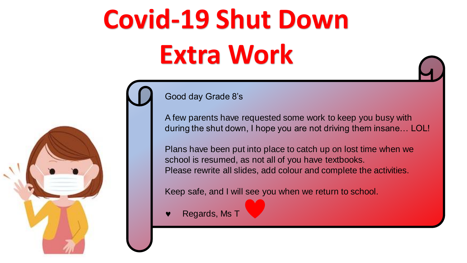# **Covid-19 Shut Down Extra Work**





#### Good day Grade 8's

A few parents have requested some work to keep you busy with during the shut down, I hope you are not driving them insane… LOL!

Plans have been put into place to catch up on lost time when we school is resumed, as not all of you have textbooks. Please rewrite all slides, add colour and complete the activities.

Keep safe, and I will see you when we return to school.

Regards, Ms T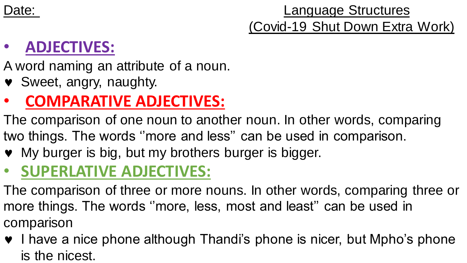Date: **Language Structures** (Covid-19 Shut Down Extra Work)

#### • **ADJECTIVES:**

A word naming an attribute of a noun.

Sweet, angry, naughty.

#### • **COMPARATIVE ADJECTIVES:**

The comparison of one noun to another noun. In other words, comparing two things. The words ''more and less'' can be used in comparison.

• My burger is big, but my brothers burger is bigger.

#### • **SUPERLATIVE ADJECTIVES:**

The comparison of three or more nouns. In other words, comparing three or more things. The words ''more, less, most and least'' can be used in comparison

• I have a nice phone although Thandi's phone is nicer, but Mpho's phone is the nicest.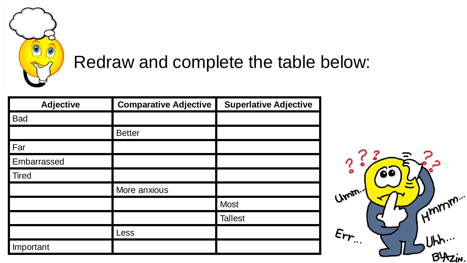

#### Redraw and complete the table below:

| <b>Adjective</b> | <b>Comparative Adjective</b> | <b>Superlative Adjective</b> |
|------------------|------------------------------|------------------------------|
| <b>Bad</b>       |                              |                              |
|                  | <b>Better</b>                |                              |
| Far              |                              |                              |
| Embarrassed      |                              |                              |
| <b>Tired</b>     |                              |                              |
|                  | More anxious                 |                              |
|                  |                              | <b>Most</b>                  |
|                  |                              | <b>Tallest</b>               |
|                  | Less                         |                              |
| Important        |                              |                              |

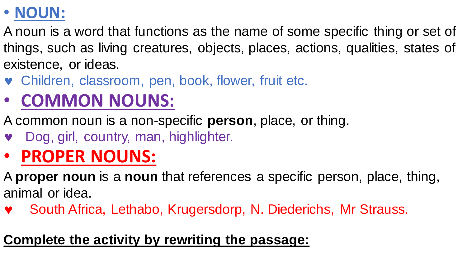#### • **NOUN:**

A noun is a word that functions as the name of some specific thing or set of things, such as living creatures, objects, places, actions, qualities, states of existence, or ideas.

- Children, classroom, pen, book, flower, fruit etc.
- **COMMON NOUNS:**
- A common noun is a non-specific **person**, place, or thing.
- Dog, girl, country, man, highlighter.

## • **PROPER NOUNS:**

A **proper noun** is a **noun** that references a specific person, place, thing, animal or idea.

South Africa, Lethabo, Krugersdorp, N. Diederichs, Mr Strauss.

#### **Complete the activity by rewriting the passage:**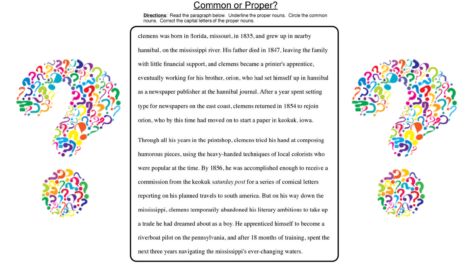#### Common or Proper?

Directions: Read the paragraph below. Underline the proper nouns. Circle the common nouns. Correct the capital letters of the proper nouns.

clemens was born in florida, missouri, in 1835, and grew up in nearby hannibal, on the mississippi river. His father died in 1847, leaving the family with little financial support, and clemens became a printer's apprentice, eventually working for his brother, orion, who had set himself up in hannibal as a newspaper publisher at the hannibal journal. After a year spent setting type for newspapers on the east coast, clemens returned in 1854 to rejoin orion, who by this time had moved on to start a paper in keokuk, iowa. Through all his years in the printshop, clemens tried his hand at composing humorous pieces, using the heavy-handed techniques of local colorists who were popular at the time. By 1856, he was accomplished enough to receive a commission from the keokuk saturday post for a series of comical letters reporting on his planned travels to south america. But on his way down the mississippi, clemens temporarily abandoned his literary ambitions to take up a trade he had dreamed about as a boy. He apprenticed himself to become a riverboat pilot on the pennsylvania, and after 18 months of training, spent the

next three years navigating the mississippi's ever-changing waters.







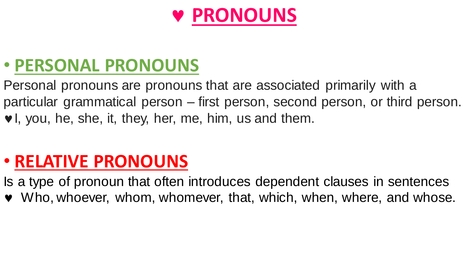## **PRONOUNS**

#### • **PERSONAL PRONOUNS**

Personal pronouns are pronouns that are associated primarily with a particular grammatical person – first person, second person, or third person. v, you, he, she, it, they, her, me, him, us and them.

#### • **RELATIVE PRONOUNS**

Is a type of pronoun that often introduces dependent clauses in sentences

Who, whoever, whom, whomever, that, which, when, where, and whose.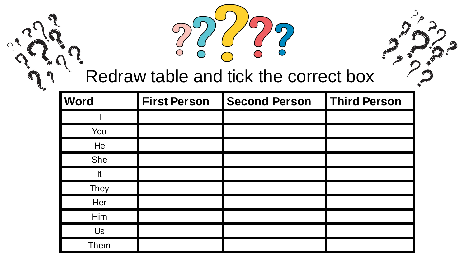

### Redraw table and tick the correct box

| <b>Word</b> | <b>First Person</b> | <b>Second Person</b> | Third Person |
|-------------|---------------------|----------------------|--------------|
|             |                     |                      |              |
| You         |                     |                      |              |
| He          |                     |                      |              |
| She         |                     |                      |              |
| It          |                     |                      |              |
| They        |                     |                      |              |
| Her         |                     |                      |              |
| Him         |                     |                      |              |
| Us          |                     |                      |              |
| <b>Them</b> |                     |                      |              |